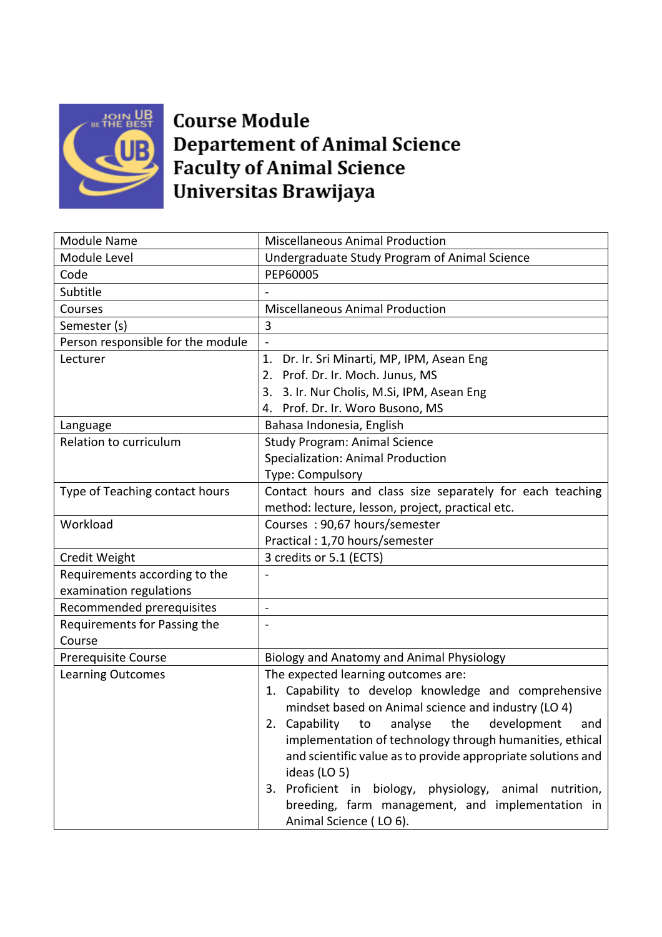

## **Course Module Departement of Animal Science Faculty of Animal Science** Universitas Brawijaya

| <b>Module Name</b>                | <b>Miscellaneous Animal Production</b>                       |
|-----------------------------------|--------------------------------------------------------------|
| Module Level                      | Undergraduate Study Program of Animal Science                |
| Code                              | PEP60005                                                     |
| Subtitle                          |                                                              |
| Courses                           | <b>Miscellaneous Animal Production</b>                       |
| Semester (s)                      | 3                                                            |
| Person responsible for the module | $\overline{a}$                                               |
| Lecturer                          | 1.<br>Dr. Ir. Sri Minarti, MP, IPM, Asean Eng                |
|                                   | 2. Prof. Dr. Ir. Moch. Junus, MS                             |
|                                   | 3. 3. Ir. Nur Cholis, M.Si, IPM, Asean Eng                   |
|                                   | 4. Prof. Dr. Ir. Woro Busono, MS                             |
| Language                          | Bahasa Indonesia, English                                    |
| Relation to curriculum            | <b>Study Program: Animal Science</b>                         |
|                                   | Specialization: Animal Production                            |
|                                   | Type: Compulsory                                             |
| Type of Teaching contact hours    | Contact hours and class size separately for each teaching    |
|                                   | method: lecture, lesson, project, practical etc.             |
| Workload                          | Courses: 90,67 hours/semester                                |
|                                   | Practical: 1,70 hours/semester                               |
| Credit Weight                     | 3 credits or 5.1 (ECTS)                                      |
| Requirements according to the     |                                                              |
| examination regulations           |                                                              |
| Recommended prerequisites         | $\overline{\phantom{a}}$                                     |
| Requirements for Passing the      |                                                              |
| Course                            |                                                              |
| <b>Prerequisite Course</b>        | Biology and Anatomy and Animal Physiology                    |
| <b>Learning Outcomes</b>          | The expected learning outcomes are:                          |
|                                   | 1. Capability to develop knowledge and comprehensive         |
|                                   | mindset based on Animal science and industry (LO 4)          |
|                                   | 2. Capability<br>development<br>to<br>analyse<br>the<br>and  |
|                                   | implementation of technology through humanities, ethical     |
|                                   | and scientific value as to provide appropriate solutions and |
|                                   | ideas (LO 5)                                                 |
|                                   | 3. Proficient in biology, physiology, animal<br>nutrition,   |
|                                   | breeding, farm management, and implementation in             |
|                                   | Animal Science (10.6).                                       |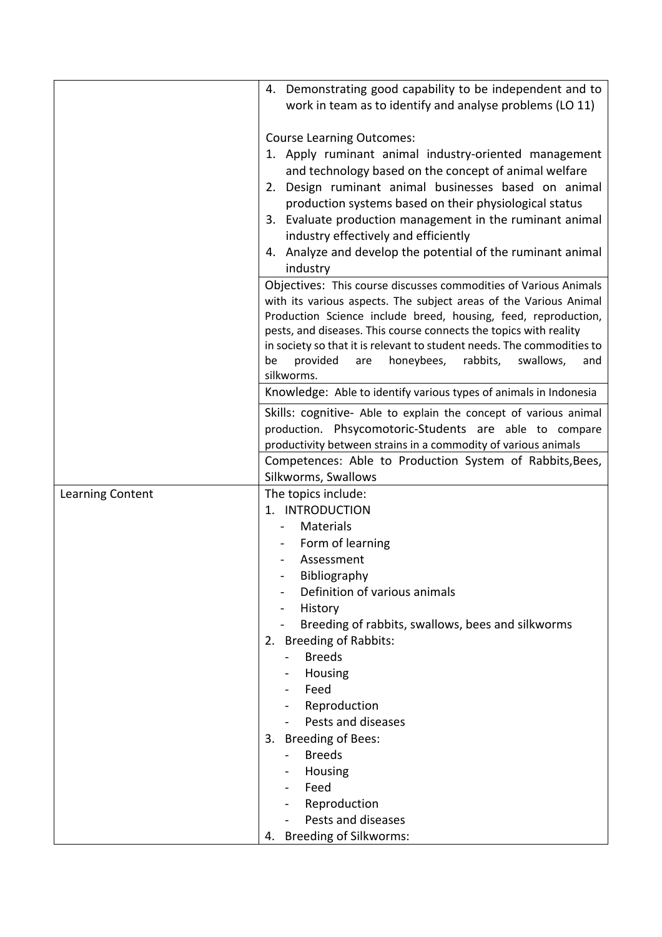|                  | 4. Demonstrating good capability to be independent and to                                                                                   |
|------------------|---------------------------------------------------------------------------------------------------------------------------------------------|
|                  | work in team as to identify and analyse problems (LO 11)                                                                                    |
|                  |                                                                                                                                             |
|                  | <b>Course Learning Outcomes:</b>                                                                                                            |
|                  | 1. Apply ruminant animal industry-oriented management                                                                                       |
|                  | and technology based on the concept of animal welfare                                                                                       |
|                  | 2. Design ruminant animal businesses based on animal                                                                                        |
|                  | production systems based on their physiological status                                                                                      |
|                  | 3. Evaluate production management in the ruminant animal                                                                                    |
|                  | industry effectively and efficiently                                                                                                        |
|                  | 4. Analyze and develop the potential of the ruminant animal                                                                                 |
|                  | industry                                                                                                                                    |
|                  | Objectives: This course discusses commodities of Various Animals                                                                            |
|                  | with its various aspects. The subject areas of the Various Animal                                                                           |
|                  | Production Science include breed, housing, feed, reproduction,                                                                              |
|                  | pests, and diseases. This course connects the topics with reality<br>in society so that it is relevant to student needs. The commodities to |
|                  | provided<br>honeybees,<br>rabbits,<br>swallows,<br>be<br>are<br>and                                                                         |
|                  | silkworms.                                                                                                                                  |
|                  | Knowledge: Able to identify various types of animals in Indonesia                                                                           |
|                  | Skills: cognitive- Able to explain the concept of various animal                                                                            |
|                  | production. Phsycomotoric-Students are able to compare                                                                                      |
|                  | productivity between strains in a commodity of various animals                                                                              |
|                  | Competences: Able to Production System of Rabbits, Bees,                                                                                    |
|                  | Silkworms, Swallows                                                                                                                         |
| Learning Content | The topics include:                                                                                                                         |
|                  | 1. INTRODUCTION                                                                                                                             |
|                  | <b>Materials</b>                                                                                                                            |
|                  | Form of learning<br>Assessment                                                                                                              |
|                  | Bibliography                                                                                                                                |
|                  | Definition of various animals                                                                                                               |
|                  | History                                                                                                                                     |
|                  | Breeding of rabbits, swallows, bees and silkworms                                                                                           |
|                  | 2. Breeding of Rabbits:                                                                                                                     |
|                  | <b>Breeds</b>                                                                                                                               |
|                  | Housing<br>$\blacksquare$                                                                                                                   |
|                  | Feed                                                                                                                                        |
|                  | Reproduction                                                                                                                                |
|                  | Pests and diseases                                                                                                                          |
|                  | 3. Breeding of Bees:                                                                                                                        |
|                  | <b>Breeds</b>                                                                                                                               |
|                  | Housing                                                                                                                                     |
|                  | Feed                                                                                                                                        |
|                  | Reproduction                                                                                                                                |
|                  | Pests and diseases                                                                                                                          |
|                  | 4. Breeding of Silkworms:                                                                                                                   |